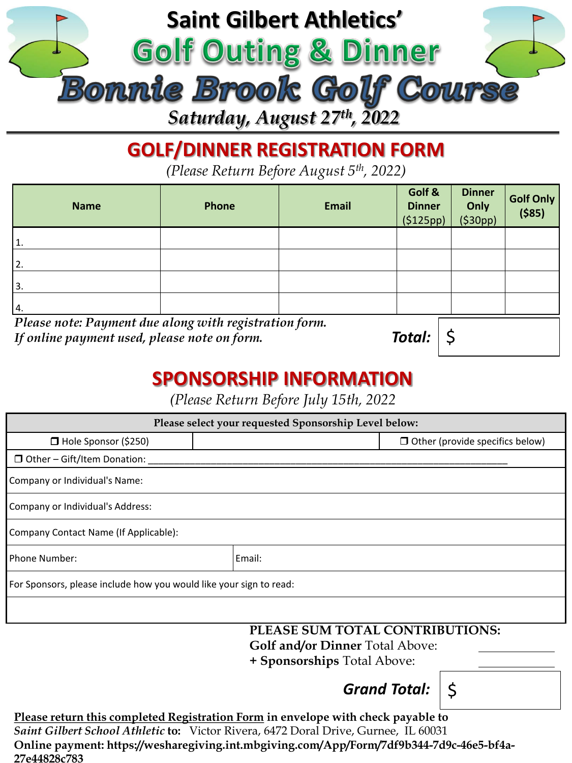

## **GOLF/DINNER REGISTRATION FORM**

*(Please Return Before August 5th, 2022)*

| Phone                                                                                                  | <b>Email</b> | Golf &<br><b>Dinner</b><br>(5125pp) | <b>Dinner</b><br>Only<br>(530pp) | Golf Only<br>( \$85) |  |
|--------------------------------------------------------------------------------------------------------|--------------|-------------------------------------|----------------------------------|----------------------|--|
|                                                                                                        |              |                                     |                                  |                      |  |
|                                                                                                        |              |                                     |                                  |                      |  |
|                                                                                                        |              |                                     |                                  |                      |  |
|                                                                                                        |              |                                     |                                  |                      |  |
| Please note: Payment due along with registration form.<br>If online payment used, please note on form. |              |                                     |                                  |                      |  |
|                                                                                                        |              |                                     | Total:                           |                      |  |

## **SPONSORSHIP INFORMATION**

*(Please Return Before July 15th, 2022*

| Please select your requested Sponsorship Level below:              |        |                                        |  |  |
|--------------------------------------------------------------------|--------|----------------------------------------|--|--|
| $\Box$ Hole Sponsor (\$250)                                        |        | $\Box$ Other (provide specifics below) |  |  |
| $\Box$ Other – Gift/Item Donation:                                 |        |                                        |  |  |
| Company or Individual's Name:                                      |        |                                        |  |  |
| Company or Individual's Address:                                   |        |                                        |  |  |
| Company Contact Name (If Applicable):                              |        |                                        |  |  |
| Phone Number:                                                      | Email: |                                        |  |  |
| For Sponsors, please include how you would like your sign to read: |        |                                        |  |  |
|                                                                    |        |                                        |  |  |

**PLEASE SUM TOTAL CONTRIBUTIONS: Golf and/or Dinner** Total Above:

**+ Sponsorships** Total Above:

*Grand Total:*  $\vert$  \$

**Please return this completed Registration Form in envelope with check payable to**  *Saint Gilbert School Athletic* **to:** Victor Rivera, 6472 Doral Drive, Gurnee, IL 60031 **Online payment: https://wesharegiving.int.mbgiving.com/App/Form/7df9b344-7d9c-46e5-bf4a-27e44828c783**